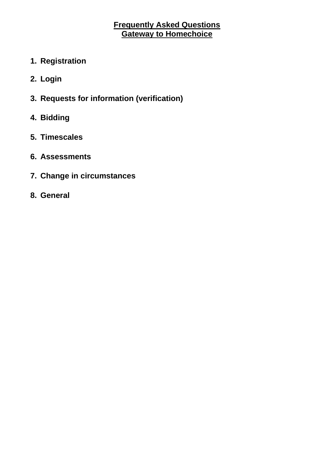# **Frequently Asked Questions Gateway to Homechoice**

- **1. Registration**
- **2. Login**
- **3. Requests for information (verification)**
- **4. Bidding**
- **5. Timescales**
- **6. Assessments**
- **7. Change in circumstances**
- **8. General**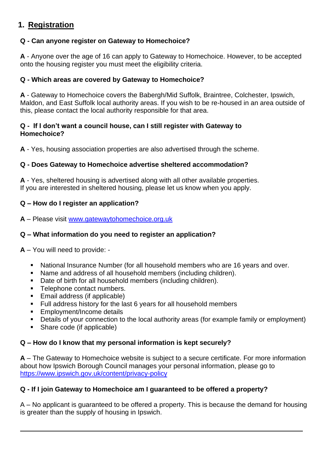# **1. Registration**

## **Q - Can anyone register on Gateway to Homechoice?**

**A** - Anyone over the age of 16 can apply to Gateway to Homechoice. However, to be accepted onto the housing register you must meet the eligibility criteria.

### **Q - Which areas are covered by Gateway to Homechoice?**

**A** - Gateway to Homechoice covers the Babergh/Mid Suffolk, Braintree, Colchester, Ipswich, Maldon, and East Suffolk local authority areas. If you wish to be re-housed in an area outside of this, please contact the local authority responsible for that area.

#### **Q - If I don't want a council house, can I still register with Gateway to Homechoice?**

**A** - Yes, housing association properties are also advertised through the scheme.

## **Q - Does Gateway to Homechoice advertise sheltered accommodation?**

**A** - Yes, sheltered housing is advertised along with all other available properties. If you are interested in sheltered housing, please let us know when you apply.

## **Q – How do I register an application?**

**A** – Please visit [www.gatewaytohomechoice.org.uk](http://www.gatewaytohomechoice.org.uk/)

## **Q – What information do you need to register an application?**

**A** – You will need to provide: -

- National Insurance Number (for all household members who are 16 years and over.
- Name and address of all household members (including children).
- Date of birth for all household members (including children).
- Telephone contact numbers.
- Email address (if applicable)
- Full address history for the last 6 years for all household members
- Employment/Income details
- Details of your connection to the local authority areas (for example family or employment)
- Share code (if applicable)

### **Q – How do I know that my personal information is kept securely?**

**A** – The Gateway to Homechoice website is subject to a secure certificate. For more information about how Ipswich Borough Council manages your personal information, please go to <https://www.ipswich.gov.uk/content/privacy-policy>

### **Q - If I join Gateway to Homechoice am I guaranteed to be offered a property?**

A – No applicant is guaranteed to be offered a property. This is because the demand for housing is greater than the supply of housing in Ipswich.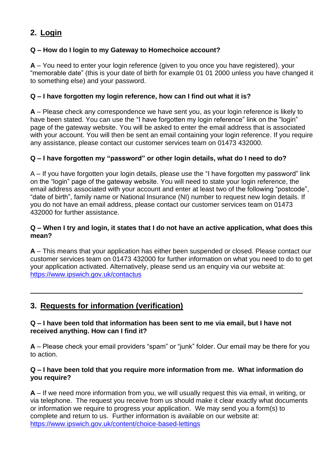# **2. Login**

## **Q – How do I login to my Gateway to Homechoice account?**

**A** – You need to enter your login reference (given to you once you have registered), your "memorable date" (this is your date of birth for example 01 01 2000 unless you have changed it to something else) and your password.

#### **Q – I have forgotten my login reference, how can I find out what it is?**

**A** – Please check any correspondence we have sent you, as your login reference is likely to have been stated. You can use the "I have forgotten my login reference" link on the "login" page of the gateway website. You will be asked to enter the email address that is associated with your account. You will then be sent an email containing your login reference. If you require any assistance, please contact our customer services team on 01473 432000.

#### **Q – I have forgotten my "password" or other login details, what do I need to do?**

A – If you have forgotten your login details, please use the "I have forgotten my password" link on the "login" page of the gateway website. You will need to state your login reference, the email address associated with your account and enter at least two of the following "postcode", "date of birth", family name or National Insurance (NI) number to request new login details. If you do not have an email address, please contact our customer services team on 01473 432000 for further assistance.

#### **Q – When I try and login, it states that I do not have an active application, what does this mean?**

**A** – This means that your application has either been suspended or closed. Please contact our customer services team on 01473 432000 for further information on what you need to do to get your application activated. Alternatively, please send us an enquiry via our website at: <https://www.ipswich.gov.uk/contactus>

## **3. Requests for information (verification)**

#### **Q – I have been told that information has been sent to me via email, but I have not received anything. How can I find it?**

**A** – Please check your email providers "spam" or "junk" folder. Our email may be there for you to action.

#### **Q – I have been told that you require more information from me. What information do you require?**

**A** – If we need more information from you, we will usually request this via email, in writing, or via telephone. The request you receive from us should make it clear exactly what documents or information we require to progress your application. We may send you a form(s) to complete and return to us. Further information is available on our website at: <https://www.ipswich.gov.uk/content/choice-based-lettings>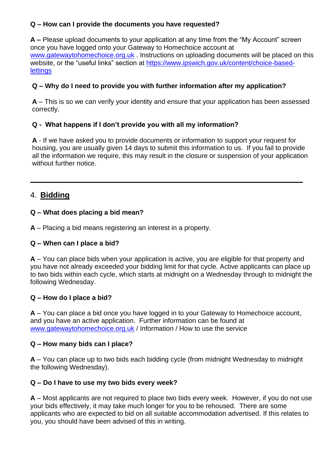## **Q – How can I provide the documents you have requested?**

**A –** Please upload documents to your application at any time from the "My Account" screen once you have logged onto your Gateway to Homechoice account at [www.gatewaytohomechoice.org.uk](http://www.gatewaytohomechoice.org.uk/). Instructions on uploading documents will be placed on this website, or the "useful links" section at [https://www.ipswich.gov.uk/content/choice-based](https://www.ipswich.gov.uk/content/choice-based-lettings)**[lettings](https://www.ipswich.gov.uk/content/choice-based-lettings)** 

## **Q – Why do I need to provide you with further information after my application?**

**A** – This is so we can verify your identity and ensure that your application has been assessed correctly.

## **Q - What happens if I don't provide you with all my information?**

**A** - If we have asked you to provide documents or information to support your request for housing, you are usually given 14 days to submit this information to us. If you fail to provide all the information we require, this may result in the closure or suspension of your application without further notice

## 4. **Bidding**

## **Q – What does placing a bid mean?**

**A** – Placing a bid means registering an interest in a property.

### **Q – When can I place a bid?**

**A** – You can place bids when your application is active, you are eligible for that property and you have not already exceeded your bidding limit for that cycle. Active applicants can place up to two bids within each cycle, which starts at midnight on a Wednesday through to midnight the following Wednesday.

### **Q – How do I place a bid?**

**A** – You can place a bid once you have logged in to your Gateway to Homechoice account, and you have an active application. Further information can be found at [www.gatewaytohomechoice.org.uk](http://www.gatewaytohomechoice.org.uk/) / Information / How to use the service

### **Q – How many bids can I place?**

**A** – You can place up to two bids each bidding cycle (from midnight Wednesday to midnight the following Wednesday).

## **Q – Do I have to use my two bids every week?**

**A** – Most applicants are not required to place two bids every week. However, if you do not use your bids effectively, it may take much longer for you to be rehoused. There are some applicants who are expected to bid on all suitable accommodation advertised. If this relates to you, you should have been advised of this in writing.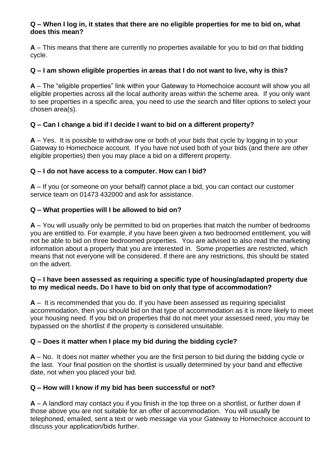#### **Q – When I log in, it states that there are no eligible properties for me to bid on, what does this mean?**

**A** – This means that there are currently no properties available for you to bid on that bidding cycle.

## **Q – I am shown eligible properties in areas that I do not want to live, why is this?**

**A** – The "eligible properties" link within your Gateway to Homechoice account will show you all eligible properties across all the local authority areas within the scheme area. If you only want to see properties in a specific area, you need to use the search and filter options to select your chosen area(s).

## **Q – Can I change a bid if I decide I want to bid on a different property?**

**A** – Yes. It is possible to withdraw one or both of your bids that cycle by logging in to your Gateway to Homechoice account. If you have not used both of your bids (and there are other eligible properties) then you may place a bid on a different property.

### **Q – I do not have access to a computer. How can I bid?**

**A** – If you (or someone on your behalf) cannot place a bid, you can contact our customer service team on 01473 432000 and ask for assistance.

### **Q – What properties will I be allowed to bid on?**

**A** – You will usually only be permitted to bid on properties that match the number of bedrooms you are entitled to. For example, if you have been given a two bedroomed entitlement, you will not be able to bid on three bedroomed properties. You are advised to also read the marketing information about a property that you are interested in. Some properties are restricted, which means that not everyone will be considered. If there are any restrictions, this should be stated on the advert.

#### **Q – I have been assessed as requiring a specific type of housing/adapted property due to my medical needs. Do I have to bid on only that type of accommodation?**

**A** – It is recommended that you do. If you have been assessed as requiring specialist accommodation, then you should bid on that type of accommodation as it is more likely to meet your housing need. If you bid on properties that do not meet your assessed need, you may be bypassed on the shortlist if the property is considered unsuitable.

### **Q – Does it matter when I place my bid during the bidding cycle?**

**A** – No. It does not matter whether you are the first person to bid during the bidding cycle or the last. Your final position on the shortlist is usually determined by your band and effective date, not when you placed your bid.

### **Q – How will I know if my bid has been successful or not?**

**A** – A landlord may contact you if you finish in the top three on a shortlist, or further down if those above you are not suitable for an offer of accommodation. You will usually be telephoned, emailed, sent a text or web message via your Gateway to Homechoice account to discuss your application/bids further.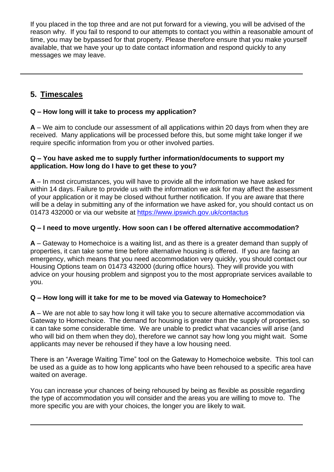If you placed in the top three and are not put forward for a viewing, you will be advised of the reason why. If you fail to respond to our attempts to contact you within a reasonable amount of time, you may be bypassed for that property. Please therefore ensure that you make yourself available, that we have your up to date contact information and respond quickly to any messages we may leave.

# **5. Timescales**

## **Q – How long will it take to process my application?**

**A** – We aim to conclude our assessment of all applications within 20 days from when they are received. Many applications will be processed before this, but some might take longer if we require specific information from you or other involved parties.

#### **Q – You have asked me to supply further information/documents to support my application. How long do I have to get these to you?**

**A** – In most circumstances, you will have to provide all the information we have asked for within 14 days. Failure to provide us with the information we ask for may affect the assessment of your application or it may be closed without further notification. If you are aware that there will be a delay in submitting any of the information we have asked for, you should contact us on 01473 432000 or via our website at<https://www.ipswich.gov.uk/contactus>

### **Q – I need to move urgently. How soon can I be offered alternative accommodation?**

**A** – Gateway to Homechoice is a waiting list, and as there is a greater demand than supply of properties, it can take some time before alternative housing is offered. If you are facing an emergency, which means that you need accommodation very quickly, you should contact our Housing Options team on 01473 432000 (during office hours). They will provide you with advice on your housing problem and signpost you to the most appropriate services available to you.

### **Q – How long will it take for me to be moved via Gateway to Homechoice?**

**A** – We are not able to say how long it will take you to secure alternative accommodation via Gateway to Homechoice. The demand for housing is greater than the supply of properties, so it can take some considerable time. We are unable to predict what vacancies will arise (and who will bid on them when they do), therefore we cannot say how long you might wait. Some applicants may never be rehoused if they have a low housing need.

There is an "Average Waiting Time" tool on the Gateway to Homechoice website. This tool can be used as a guide as to how long applicants who have been rehoused to a specific area have waited on average.

You can increase your chances of being rehoused by being as flexible as possible regarding the type of accommodation you will consider and the areas you are willing to move to. The more specific you are with your choices, the longer you are likely to wait.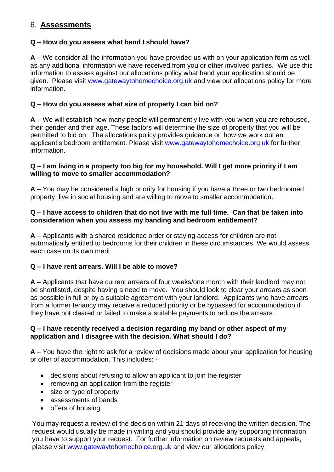# 6. **Assessments**

#### **Q – How do you assess what band I should have?**

**A** – We consider all the information you have provided us with on your application form as well as any additional information we have received from you or other involved parties. We use this information to assess against our allocations policy what band your application should be given. Please visit [www.gatewaytohomechoice.org.uk](http://www.gatewaytohomechoice.org.uk/) and view our allocations policy for more information.

#### **Q – How do you assess what size of property I can bid on?**

**A** – We will establish how many people will permanently live with you when you are rehoused, their gender and their age. These factors will determine the size of property that you will be permitted to bid on. The allocations policy provides guidance on how we work out an applicant's bedroom entitlement. Please visit [www.gatewaytohomechoice.org.uk](http://www.gatewaytohomechoice.org.uk/) for further information.

#### **Q – I am living in a property too big for my household. Will I get more priority if I am willing to move to smaller accommodation?**

**A** – You may be considered a high priority for housing if you have a three or two bedroomed property, live in social housing and are willing to move to smaller accommodation.

#### **Q – I have access to children that do not live with me full time. Can that be taken into consideration when you assess my banding and bedroom entitlement?**

**A** – Applicants with a shared residence order or staying access for children are not automatically entitled to bedrooms for their children in these circumstances. We would assess each case on its own merit.

### **Q – I have rent arrears. Will I be able to move?**

**A** – Applicants that have current arrears of four weeks/one month with their landlord may not be shortlisted, despite having a need to move. You should look to clear your arrears as soon as possible in full or by a suitable agreement with your landlord. Applicants who have arrears from a former tenancy may receive a reduced priority or be bypassed for accommodation if they have not cleared or failed to make a suitable payments to reduce the arrears.

#### **Q – I have recently received a decision regarding my band or other aspect of my application and I disagree with the decision. What should I do?**

**A** – You have the right to ask for a review of decisions made about your application for housing or offer of accommodation. This includes: -

- decisions about refusing to allow an applicant to join the register
- removing an application from the register
- size or type of property
- assessments of bands
- offers of housing

You may request a review of the decision within 21 days of receiving the written decision. The request would usually be made in writing and you should provide any supporting information you have to support your request. For further information on review requests and appeals, please visit [www.gatewaytohomechoice.org.uk](http://www.gatewaytohomechoice.org.uk/) and view our allocations policy.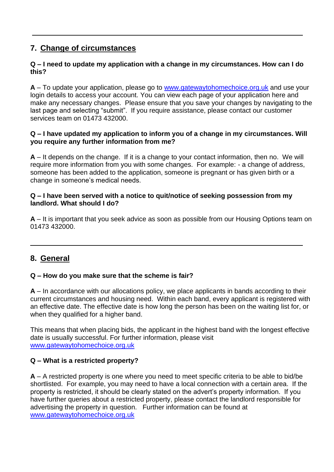## **7. Change of circumstances**

#### **Q – I need to update my application with a change in my circumstances. How can I do this?**

**A** – To update your application, please go to [www.gatewaytohomechoice.org.uk](http://www.gatewaytohomechoice.org.uk/) and use your login details to access your account. You can view each page of your application here and make any necessary changes. Please ensure that you save your changes by navigating to the last page and selecting "submit". If you require assistance, please contact our customer services team on 01473 432000.

#### **Q – I have updated my application to inform you of a change in my circumstances. Will you require any further information from me?**

**A** – It depends on the change. If it is a change to your contact information, then no. We will require more information from you with some changes. For example: - a change of address, someone has been added to the application, someone is pregnant or has given birth or a change in someone's medical needs.

#### **Q – I have been served with a notice to quit/notice of seeking possession from my landlord. What should I do?**

**A** – It is important that you seek advice as soon as possible from our Housing Options team on 01473 432000.

## **8. General**

### **Q – How do you make sure that the scheme is fair?**

**A** – In accordance with our allocations policy, we place applicants in bands according to their current circumstances and housing need. Within each band, every applicant is registered with an effective date. The effective date is how long the person has been on the waiting list for, or when they qualified for a higher band.

This means that when placing bids, the applicant in the highest band with the longest effective date is usually successful. For further information, please visit [www.gatewaytohomechoice.org.uk](http://www.gatewaytohomechoice.org.uk/)

### **Q – What is a restricted property?**

**A** – A restricted property is one where you need to meet specific criteria to be able to bid/be shortlisted. For example, you may need to have a local connection with a certain area. If the property is restricted, it should be clearly stated on the advert's property information. If you have further queries about a restricted property, please contact the landlord responsible for advertising the property in question. Further information can be found at [www.gatewaytohomechoice.org.uk](http://www.gatewaytohomechoice.org.uk/)